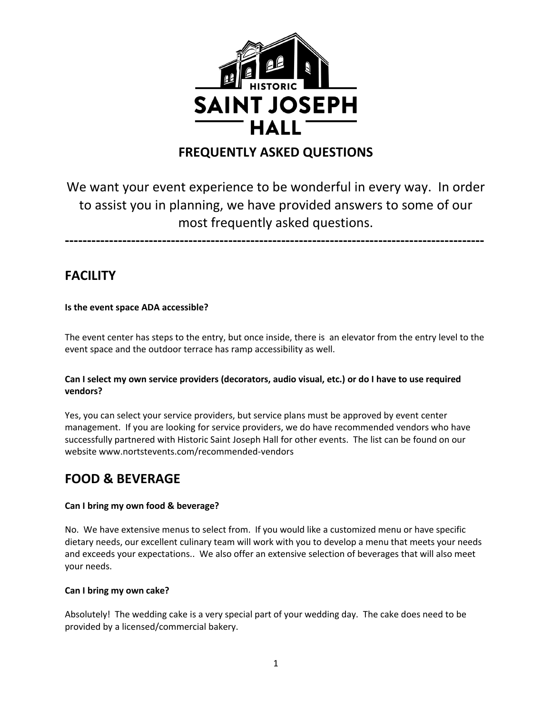

## **FREQUENTLY ASKED QUESTIONS**

# We want your event experience to be wonderful in every way. In order to assist you in planning, we have provided answers to some of our most frequently asked questions.

**-----------------------------------------------------------------------------------------------**

## **FACILITY**

### **Is the event space ADA accessible?**

The event center has steps to the entry, but once inside, there is an elevator from the entry level to the event space and the outdoor terrace has ramp accessibility as well.

#### **Can I select my own service providers (decorators, audio visual, etc.) or do I have to use required vendors?**

Yes, you can select your service providers, but service plans must be approved by event center management. If you are looking for service providers, we do have recommended vendors who have successfully partnered with Historic Saint Joseph Hall for other events. The list can be found on our website www.nortstevents.com/recommended-vendors

### **FOOD & BEVERAGE**

### **Can I bring my own food & beverage?**

No. We have extensive menus to select from. If you would like a customized menu or have specific dietary needs, our excellent culinary team will work with you to develop a menu that meets your needs and exceeds your expectations.. We also offer an extensive selection of beverages that will also meet your needs.

#### **Can I bring my own cake?**

Absolutely! The wedding cake is a very special part of your wedding day. The cake does need to be provided by a licensed/commercial bakery.